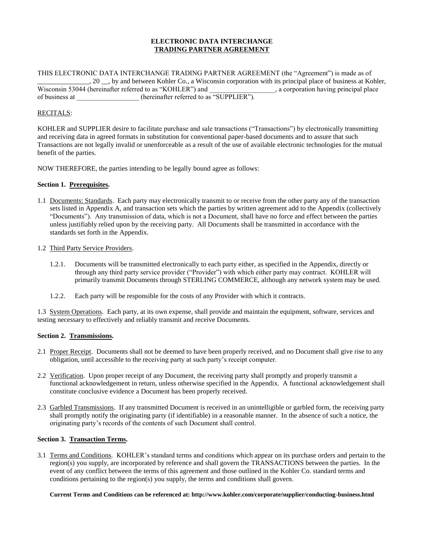## **ELECTRONIC DATA INTERCHANGE TRADING PARTNER AGREEMENT**

THIS ELECTRONIC DATA INTERCHANGE TRADING PARTNER AGREEMENT (the "Agreement") is made as of 20 \_\_, by and between Kohler Co., a Wisconsin corporation with its principal place of business at Kohler,<br>
4 (hereinafter referred to as "KOHLER") and <br>
4 (hereinafter referred to as "KOHLER") and Wisconsin 53044 (hereinafter referred to as "KOHLER") and of business at \_\_\_\_\_\_\_\_\_\_\_\_\_\_\_\_\_\_\_\_\_\_ (hereinafter referred to as "SUPPLIER").

## RECITALS:

KOHLER and SUPPLIER desire to facilitate purchase and sale transactions ("Transactions") by electronically transmitting and receiving data in agreed formats in substitution for conventional paper-based documents and to assure that such Transactions are not legally invalid or unenforceable as a result of the use of available electronic technologies for the mutual benefit of the parties.

NOW THEREFORE, the parties intending to be legally bound agree as follows:

## **Section 1. Prerequisites.**

1.1 Documents: Standards. Each party may electronically transmit to or receive from the other party any of the transaction sets listed in Appendix A, and transaction sets which the parties by written agreement add to the Appendix (collectively "Documents"). Any transmission of data, which is not a Document, shall have no force and effect between the parties unless justifiably relied upon by the receiving party. All Documents shall be transmitted in accordance with the standards set forth in the Appendix.

#### 1.2 Third Party Service Providers.

- 1.2.1. Documents will be transmitted electronically to each party either, as specified in the Appendix, directly or through any third party service provider ("Provider") with which either party may contract. KOHLER will primarily transmit Documents through STERLING COMMERCE, although any network system may be used.
- 1.2.2. Each party will be responsible for the costs of any Provider with which it contracts.

1.3 System Operations. Each party, at its own expense, shall provide and maintain the equipment, software, services and testing necessary to effectively and reliably transmit and receive Documents.

#### **Section 2. Transmissions.**

- 2.1 Proper Receipt. Documents shall not be deemed to have been properly received, and no Document shall give rise to any obligation, until accessible to the receiving party at such party's receipt computer.
- 2.2 Verification. Upon proper receipt of any Document, the receiving party shall promptly and properly transmit a functional acknowledgement in return, unless otherwise specified in the Appendix. A functional acknowledgement shall constitute conclusive evidence a Document has been properly received.
- 2.3 Garbled Transmissions. If any transmitted Document is received in an unintelligible or garbled form, the receiving party shall promptly notify the originating party (if identifiable) in a reasonable manner. In the absence of such a notice, the originating party's records of the contents of such Document shall control.

#### **Section 3. Transaction Terms.**

3.1 Terms and Conditions. KOHLER's standard terms and conditions which appear on its purchase orders and pertain to the region(s) you supply, are incorporated by reference and shall govern the TRANSACTIONS between the parties. In the event of any conflict between the terms of this agreement and those outlined in the Kohler Co. standard terms and conditions pertaining to the region(s) you supply, the terms and conditions shall govern.

#### **Current Terms and Conditions can be referenced at: http://www.kohler.com/corporate/supplier/conducting-business.html**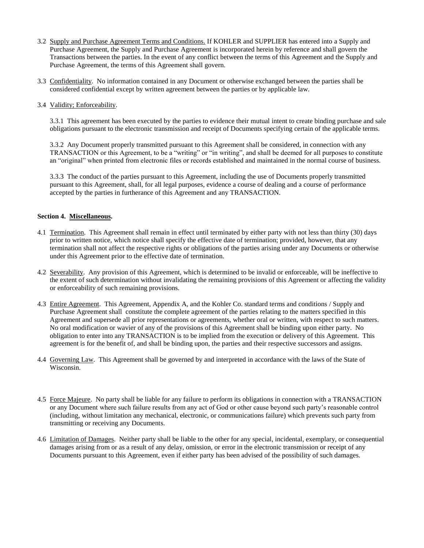- 3.2 Supply and Purchase Agreement Terms and Conditions. If KOHLER and SUPPLIER has entered into a Supply and Purchase Agreement, the Supply and Purchase Agreement is incorporated herein by reference and shall govern the Transactions between the parties. In the event of any conflict between the terms of this Agreement and the Supply and Purchase Agreement, the terms of this Agreement shall govern.
- 3.3 Confidentiality. No information contained in any Document or otherwise exchanged between the parties shall be considered confidential except by written agreement between the parties or by applicable law.
- 3.4 Validity; Enforceability.

3.3.1 This agreement has been executed by the parties to evidence their mutual intent to create binding purchase and sale obligations pursuant to the electronic transmission and receipt of Documents specifying certain of the applicable terms.

3.3.2 Any Document properly transmitted pursuant to this Agreement shall be considered, in connection with any TRANSACTION or this Agreement, to be a "writing" or "in writing", and shall be deemed for all purposes to constitute an "original" when printed from electronic files or records established and maintained in the normal course of business.

3.3.3 The conduct of the parties pursuant to this Agreement, including the use of Documents properly transmitted pursuant to this Agreement, shall, for all legal purposes, evidence a course of dealing and a course of performance accepted by the parties in furtherance of this Agreement and any TRANSACTION.

## **Section 4. Miscellaneous.**

- 4.1 Termination. This Agreement shall remain in effect until terminated by either party with not less than thirty (30) days prior to written notice, which notice shall specify the effective date of termination; provided, however, that any termination shall not affect the respective rights or obligations of the parties arising under any Documents or otherwise under this Agreement prior to the effective date of termination.
- 4.2 Severability. Any provision of this Agreement, which is determined to be invalid or enforceable, will be ineffective to the extent of such determination without invalidating the remaining provisions of this Agreement or affecting the validity or enforceability of such remaining provisions.
- 4.3 Entire Agreement. This Agreement, Appendix A, and the Kohler Co. standard terms and conditions / Supply and Purchase Agreement shall constitute the complete agreement of the parties relating to the matters specified in this Agreement and supersede all prior representations or agreements, whether oral or written, with respect to such matters. No oral modification or wavier of any of the provisions of this Agreement shall be binding upon either party. No obligation to enter into any TRANSACTION is to be implied from the execution or delivery of this Agreement. This agreement is for the benefit of, and shall be binding upon, the parties and their respective successors and assigns.
- 4.4 Governing Law. This Agreement shall be governed by and interpreted in accordance with the laws of the State of Wisconsin.
- 4.5 Force Majeure. No party shall be liable for any failure to perform its obligations in connection with a TRANSACTION or any Document where such failure results from any act of God or other cause beyond such party's reasonable control (including, without limitation any mechanical, electronic, or communications failure) which prevents such party from transmitting or receiving any Documents.
- 4.6 Limitation of Damages. Neither party shall be liable to the other for any special, incidental, exemplary, or consequential damages arising from or as a result of any delay, omission, or error in the electronic transmission or receipt of any Documents pursuant to this Agreement, even if either party has been advised of the possibility of such damages.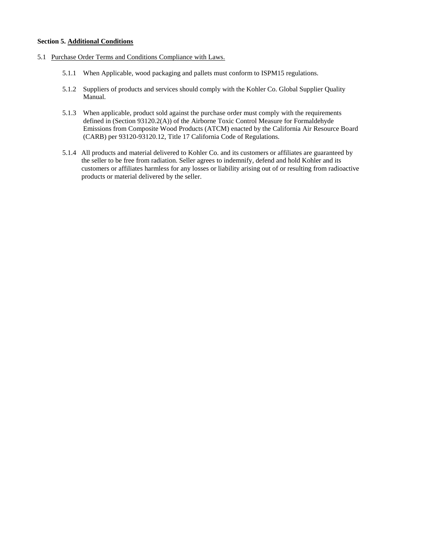### **Section 5. Additional Conditions**

- 5.1 Purchase Order Terms and Conditions Compliance with Laws.
	- 5.1.1 When Applicable, wood packaging and pallets must conform to ISPM15 regulations.
	- 5.1.2 Suppliers of products and services should comply with the Kohler Co. Global Supplier Quality Manual.
	- 5.1.3 When applicable, product sold against the purchase order must comply with the requirements defined in (Section 93120.2(A)) of the Airborne Toxic Control Measure for Formaldehyde Emissions from Composite Wood Products (ATCM) enacted by the California Air Resource Board (CARB) per 93120-93120.12, Title 17 California Code of Regulations.
	- 5.1.4 All products and material delivered to Kohler Co. and its customers or affiliates are guaranteed by the seller to be free from radiation. Seller agrees to indemnify, defend and hold Kohler and its customers or affiliates harmless for any losses or liability arising out of or resulting from radioactive products or material delivered by the seller.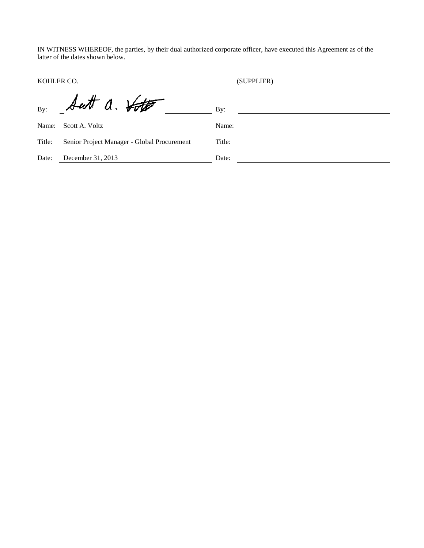IN WITNESS WHEREOF, the parties, by their dual authorized corporate officer, have executed this Agreement as of the latter of the dates shown below.

KOHLER CO. (SUPPLIER)

| By:    | Sutt a. Voto                                | $\mathbf{B} \mathbf{v}$ : |
|--------|---------------------------------------------|---------------------------|
| Name:  | Scott A. Voltz                              | Name:                     |
| Title: | Senior Project Manager - Global Procurement | Title:                    |
| Date:  | December 31, 2013                           | Date:                     |